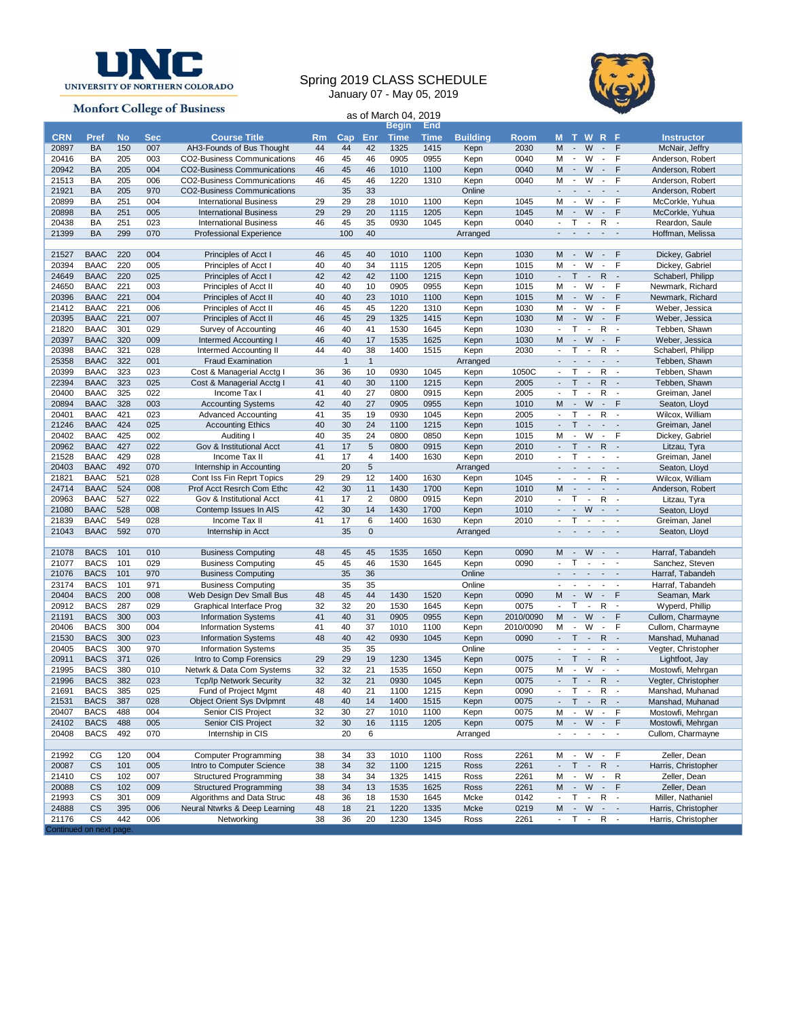

**Monfort College of Business** 

**Led on next page.** 

## Spring 2019 CLASS SCHEDULE January 07 - May 05, 2019

as of March 04, 2019



|            |             |           |            |                                    |           |                |                | <b>Begin</b> | End         |                 |           |                          |                          |                                                           |                                           |                          |                     |
|------------|-------------|-----------|------------|------------------------------------|-----------|----------------|----------------|--------------|-------------|-----------------|-----------|--------------------------|--------------------------|-----------------------------------------------------------|-------------------------------------------|--------------------------|---------------------|
| <b>CRN</b> | Pref        | <b>No</b> | <b>Sec</b> | <b>Course Title</b>                | <b>Rm</b> | $\mathsf{Cap}$ | Enr            | <b>Time</b>  | <b>Time</b> | <b>Building</b> | Room      |                          |                          | <b>MTWRF</b>                                              |                                           |                          | <b>Instructor</b>   |
| 20897      | <b>BA</b>   | 150       | 007        | AH3-Founds of Bus Thought          | 44        | 44             | 42             | 1325         | 1415        | Kepn            | 2030      | M                        | $\sim$                   | W                                                         | $\sim$                                    | F                        | McNair, Jeffry      |
| 20416      | BA          | 205       | 003        | CO2-Business Communications        | 46        | 45             | 46             | 0905         | 0955        | Kepn            | 0040      | M                        | $\overline{\phantom{a}}$ | W                                                         | $\blacksquare$                            | F                        | Anderson, Robert    |
| 20942      | <b>BA</b>   | 205       | 004        | <b>CO2-Business Communications</b> | 46        | 45             | 46             | 1010         | 1100        | Kepn            | 0040      | M                        | $\overline{\phantom{a}}$ | W                                                         | $\blacksquare$                            | F                        | Anderson, Robert    |
| 21513      | BA          | 205       | 006        | CO2-Business Communications        | 46        | 45             | 46             | 1220         | 1310        | Kepn            | 0040      | M                        | $\sim$                   | W                                                         | $\mathcal{L}_{\mathcal{A}}$               | F                        | Anderson, Robert    |
|            |             |           |            |                                    |           |                |                |              |             |                 |           |                          |                          |                                                           |                                           |                          |                     |
| 21921      | BA          | 205       | 970        | <b>CO2-Business Communications</b> |           | 35             | 33             |              |             | Online          |           |                          | $\overline{\phantom{a}}$ | $\overline{\phantom{a}}$                                  | $\overline{\phantom{a}}$                  | $\overline{\phantom{a}}$ | Anderson, Robert    |
| 20899      | BA          | 251       | 004        | <b>International Business</b>      | 29        | 29             | 28             | 1010         | 1100        | Kepn            | 1045      | M                        | $\blacksquare$           | W                                                         | $\sim$                                    | F                        | McCorkle, Yuhua     |
| 20898      | <b>BA</b>   | 251       | 005        | <b>International Business</b>      | 29        | 29             | 20             | 1115         | 1205        | Kepn            | 1045      | M                        | $\sim$                   | W                                                         | $\blacksquare$                            | F                        | McCorkle, Yuhua     |
| 20438      | BA          | 251       | 023        | <b>International Business</b>      | 46        | 45             | 35             | 0930         | 1045        | Kepn            | 0040      | $\blacksquare$           | т                        | $\blacksquare$                                            | $\mathsf{R}$                              | $\overline{\phantom{a}}$ | Reardon, Saule      |
| 21399      | BA          | 299       | 070        | <b>Professional Experience</b>     |           | 100            | 40             |              |             | Arranged        |           | $\blacksquare$           | $\overline{\phantom{a}}$ | $\overline{\phantom{a}}$                                  | $\sim$                                    | $\overline{\phantom{a}}$ | Hoffman, Melissa    |
|            |             |           |            |                                    |           |                |                |              |             |                 |           |                          |                          |                                                           |                                           |                          |                     |
| 21527      | <b>BAAC</b> | 220       | 004        | Principles of Acct I               | 46        | 45             | 40             | 1010         | 1100        | Kepn            | 1030      | M                        | $\sim$                   | W                                                         | $\sim$                                    | F                        | Dickey, Gabriel     |
| 20394      | <b>BAAC</b> | 220       | 005        | Principles of Acct I               | 40        | 40             | 34             | 1115         | 1205        | Kepn            | 1015      | M                        | $\sim$                   | W                                                         | $\overline{\phantom{a}}$                  | F                        | Dickey, Gabriel     |
| 24649      | <b>BAAC</b> | 220       | 025        | Principles of Acct I               | 42        | 42             | 42             | 1100         | 1215        | Kepn            | 1010      | $\overline{\phantom{a}}$ | T                        | $\sim$                                                    | $\mathsf{R}$                              | $\overline{\phantom{a}}$ | Schaberl, Philipp   |
| 24650      | <b>BAAC</b> | 221       | 003        | Principles of Acct II              | 40        | 40             | 10             | 0905         | 0955        | Kepn            | 1015      | M                        | $\overline{\phantom{a}}$ | W                                                         | $\blacksquare$                            | F                        | Newmark, Richard    |
|            | <b>BAAC</b> | 221       | 004        |                                    | 40        | 40             | 23             | 1010         | 1100        |                 | 1015      | M                        | $\sim$                   | W                                                         | $\sim$                                    | F                        |                     |
| 20396      |             |           |            | Principles of Acct II              |           |                |                |              |             | Kepn            |           |                          |                          |                                                           |                                           |                          | Newmark, Richard    |
| 21412      | <b>BAAC</b> | 221       | 006        | Principles of Acct II              | 46        | 45             | 45             | 1220         | 1310        | Kepn            | 1030      | M                        | $\blacksquare$           | W                                                         | $\overline{\phantom{a}}$                  | F                        | Weber, Jessica      |
| 20395      | <b>BAAC</b> | 221       | 007        | Principles of Acct II              | 46        | 45             | 29             | 1325         | 1415        | Kepn            | 1030      | M                        | $\sim$                   | W                                                         | $\sim$                                    | F                        | Weber, Jessica      |
| 21820      | <b>BAAC</b> | 301       | 029        | Survey of Accounting               | 46        | 40             | 41             | 1530         | 1645        | Kepn            | 1030      | $\blacksquare$           | т                        | $\overline{\phantom{a}}$                                  | $\mathsf{R}$                              | $\overline{\phantom{a}}$ | Tebben, Shawn       |
| 20397      | <b>BAAC</b> | 320       | 009        | Intermed Accounting I              | 46        | 40             | 17             | 1535         | 1625        | Kepn            | 1030      | M                        | $\sim$                   | W                                                         | $\overline{\phantom{a}}$                  | F                        | Weber, Jessica      |
| 20398      | <b>BAAC</b> | 321       | 028        | Intermed Accounting II             | 44        | 40             | 38             | 1400         | 1515        | Kepn            | 2030      | $\blacksquare$           | T                        | $\overline{\phantom{a}}$                                  | $\mathsf{R}$                              | $\overline{\phantom{a}}$ | Schaberl, Philipp   |
| 25358      | <b>BAAC</b> | 322       | 001        | <b>Fraud Examination</b>           |           | $\mathbf{1}$   | $\overline{1}$ |              |             | Arranged        |           |                          | $\overline{\phantom{a}}$ | $\overline{\phantom{a}}$                                  | $\overline{a}$                            | $\blacksquare$           | Tebben, Shawn       |
| 20399      | <b>BAAC</b> | 323       | 023        | Cost & Managerial Acctg I          | 36        | 36             | 10             | 0930         | 1045        | Kepn            | 1050C     | $\overline{\phantom{a}}$ | T                        | $\sim$                                                    | R                                         | $\overline{\phantom{a}}$ | Tebben, Shawn       |
| 22394      | <b>BAAC</b> | 323       | 025        | Cost & Managerial Acctg I          | 41        | 40             | 30             | 1100         | 1215        | Kepn            | 2005      | $\blacksquare$           | Τ                        | $\sim$                                                    | $\mathsf{R}$                              | $\sim$                   | Tebben, Shawn       |
| 20400      | <b>BAAC</b> | 325       | 022        | Income Tax I                       | 41        | 40             | 27             | 0800         | 0915        | Kepn            | 2005      | $\blacksquare$           | т                        | $\overline{\phantom{a}}$                                  | R                                         | $\overline{\phantom{a}}$ | Greiman, Janel      |
|            |             |           |            |                                    |           |                |                |              |             |                 |           |                          |                          |                                                           |                                           |                          |                     |
| 20894      | <b>BAAC</b> | 328       | 003        | <b>Accounting Systems</b>          | 42        | 40             | 27             | 0905         | 0955        | Kepn            | 1010      | M                        | $\blacksquare$           | W                                                         | $\sim$                                    | F                        | Seaton, Lloyd       |
| 20401      | <b>BAAC</b> | 421       | 023        | <b>Advanced Accounting</b>         | 41        | 35             | 19             | 0930         | 1045        | Kepn            | 2005      |                          | т                        | $\overline{\phantom{a}}$                                  | $\mathsf{R}$                              | $\overline{\phantom{a}}$ | Wilcox, William     |
| 21246      | <b>BAAC</b> | 424       | 025        | <b>Accounting Ethics</b>           | 40        | 30             | 24             | 1100         | 1215        | Kepn            | 1015      | $\overline{\phantom{a}}$ | T.                       | $\sim$                                                    | $\sim$                                    | $\overline{\phantom{a}}$ | Greiman, Janel      |
| 20402      | <b>BAAC</b> | 425       | 002        | Auditing I                         | 40        | 35             | 24             | 0800         | 0850        | Kepn            | 1015      | M                        | $\overline{\phantom{a}}$ | W                                                         | $\blacksquare$                            | F                        | Dickey, Gabriel     |
| 20962      | <b>BAAC</b> | 427       | 022        | Gov & Institutional Acct           | 41        | 17             | 5              | 0800         | 0915        | Kepn            | 2010      | $\overline{\phantom{a}}$ | T                        | $\sim$                                                    | $\mathsf{R}$                              | $\sim$                   | Litzau, Tyra        |
| 21528      | <b>BAAC</b> | 429       | 028        | Income Tax II                      | 41        | 17             | $\overline{4}$ | 1400         | 1630        | Kepn            | 2010      | $\overline{\phantom{a}}$ | T                        | $\blacksquare$                                            | $\blacksquare$                            | $\overline{\phantom{a}}$ | Greiman, Janel      |
| 20403      | <b>BAAC</b> | 492       | 070        | Internship in Accounting           |           | 20             | $\sqrt{5}$     |              |             | Arranged        |           | $\mathcal{L}$            | $\mathcal{L}$            | $\blacksquare$                                            | $\overline{\phantom{a}}$                  | $\blacksquare$           | Seaton, Lloyd       |
| 21821      | <b>BAAC</b> | 521       | 028        | Cont Iss Fin Reprt Topics          | 29        | 29             | 12             | 1400         | 1630        | Kepn            | 1045      |                          |                          | $\sim$                                                    | R                                         |                          | Wilcox, William     |
| 24714      | <b>BAAC</b> | 524       | 008        | Prof Acct Resrch Com Ethc          | 42        | 30             | 11             | 1430         | 1700        | Kepn            | 1010      | M                        | $\blacksquare$           | $\overline{\phantom{a}}$                                  | $\sim$                                    | $\sim$                   | Anderson, Robert    |
| 20963      | <b>BAAC</b> | 527       | 022        | Gov & Institutional Acct           | 41        | 17             | $\overline{2}$ | 0800         | 0915        | Kepn            | 2010      | $\overline{\phantom{a}}$ | т                        | $\blacksquare$                                            | $\mathsf{R}$                              | $\overline{\phantom{a}}$ | Litzau, Tyra        |
|            | <b>BAAC</b> | 528       | 008        |                                    | 42        | 30             | 14             | 1430         | 1700        |                 | 1010      | ÷.                       | ÷.                       | W                                                         | $\sim$                                    | $\sim$                   |                     |
| 21080      |             |           |            | Contemp Issues In AIS              |           |                |                |              |             | Kepn            |           |                          |                          |                                                           |                                           |                          | Seaton, Lloyd       |
| 21839      | <b>BAAC</b> | 549       | 028        | Income Tax II                      | 41        | 17             | 6              | 1400         | 1630        | Kepn            | 2010      | $\mathbf{r}$             | Τ                        | $\sim$                                                    | $\overline{\phantom{a}}$                  | $\blacksquare$           | Greiman, Janel      |
| 21043      | <b>BAAC</b> | 592       | 070        | Internship in Acct                 |           | 35             | $\mathbf 0$    |              |             | Arranged        |           | $\mathbf{r}$             | $\overline{\phantom{a}}$ | $\sim$                                                    | $\sim$                                    |                          | Seaton, Lloyd       |
|            |             |           |            |                                    |           |                |                |              |             |                 |           |                          |                          |                                                           |                                           |                          |                     |
| 21078      | <b>BACS</b> | 101       | 010        | <b>Business Computing</b>          | 48        | 45             | 45             | 1535         | 1650        | Kepn            | 0090      | M                        | $\sim$                   | W                                                         | $\sim$ $ \sim$                            |                          | Harraf, Tabandeh    |
| 21077      | <b>BACS</b> | 101       | 029        | <b>Business Computing</b>          | 45        | 45             | 46             | 1530         | 1645        | Kepn            | 0090      | $\blacksquare$           | T                        | $\mathbf{r}$                                              | $\sim$                                    |                          | Sanchez, Steven     |
| 21076      | <b>BACS</b> | 101       | 970        | <b>Business Computing</b>          |           | 35             | 36             |              |             | Online          |           | $\sim$                   |                          | $\mathcal{L}^{\mathcal{A}}$ , $\mathcal{L}^{\mathcal{A}}$ | $\sim$                                    | $\sim$                   | Harraf, Tabandeh    |
| 23174      | <b>BACS</b> | 101       | 971        | <b>Business Computing</b>          |           | 35             | 35             |              |             | Online          |           | $\sim$                   | $\overline{\phantom{a}}$ | $\blacksquare$                                            | $\sim$                                    | $\overline{\phantom{a}}$ | Harraf, Tabandeh    |
| 20404      | <b>BACS</b> | 200       | 008        | Web Design Dev Small Bus           | 48        | 45             | 44             | 1430         | 1520        | Kepn            | 0090      | M                        | $\overline{\phantom{a}}$ | W                                                         | $\sim$                                    | F                        | Seaman, Mark        |
| 20912      | <b>BACS</b> | 287       | 029        | Graphical Interface Prog           | 32        | 32             | 20             | 1530         | 1645        | Kepn            | 0075      | $\overline{\phantom{a}}$ | Т                        | $\overline{\phantom{a}}$                                  | R                                         | $\overline{\phantom{a}}$ | Wyperd, Phillip     |
| 21191      | <b>BACS</b> | 300       | 003        | <b>Information Systems</b>         | 41        | 40             | 31             | 0905         | 0955        | Kepn            | 2010/0090 | M                        | $\sim$                   | W                                                         | $\overline{\phantom{a}}$                  | F                        | Cullom, Charmayne   |
|            |             |           |            |                                    |           |                |                |              |             |                 |           |                          |                          |                                                           |                                           |                          |                     |
| 20406      | <b>BACS</b> | 300       | 004        | <b>Information Systems</b>         | 41        | 40             | 37             | 1010         | 1100        | Kepn            | 2010/0090 | M                        | $\sim$                   | W                                                         | $\mathcal{L}_{\mathcal{A}}$               | F                        | Cullom, Charmayne   |
| 21530      | <b>BACS</b> | 300       | 023        | <b>Information Systems</b>         | 48        | 40             | 42             | 0930         | 1045        | Kepn            | 0090      |                          | т                        | $\sim$                                                    | R                                         | $\overline{\phantom{a}}$ | Manshad, Muhanad    |
| 20405      | <b>BACS</b> | 300       | 970        | <b>Information Systems</b>         |           | 35             | 35             |              |             | Online          |           |                          |                          | $\mathbf{r}$                                              | $\overline{\phantom{a}}$                  | $\overline{\phantom{a}}$ | Vegter, Christopher |
| 20911      | <b>BACS</b> | 371       | 026        | Intro to Comp Forensics            | 29        | 29             | 19             | 1230         | 1345        | Kepn            | 0075      | $\overline{\phantom{a}}$ | Τ                        | $\overline{\phantom{a}}$                                  | $\mathsf{R}$                              | $\sim$                   | Lightfoot, Jay      |
| 21995      | <b>BACS</b> | 380       | 010        | Netwrk & Data Com Systems          | 32        | 32             | 21             | 1535         | 1650        | Kepn            | 0075      | M                        | $\blacksquare$           | W                                                         | $\blacksquare$                            | $\overline{\phantom{a}}$ | Mostowfi, Mehrgan   |
| 21996      | <b>BACS</b> | 382       | 023        | <b>Tcp/Ip Network Security</b>     | 32        | 32             | 21             | 0930         | 1045        | Kepn            | 0075      | $\overline{\phantom{a}}$ | Τ                        | $\sim$                                                    | $\mathsf{R}$                              | $\sim$                   | Vegter, Christopher |
| 21691      | <b>BACS</b> | 385       | 025        | Fund of Project Mgmt               | 48        | 40             | 21             | 1100         | 1215        | Kepn            | 0090      | $\blacksquare$           | Τ                        | $\sim$                                                    | R                                         | $\overline{\phantom{a}}$ | Manshad, Muhanad    |
| 21531      | <b>BACS</b> | 387       | 028        | Object Orient Sys Dvlpmnt          | 48        | 40             | 14             | 1400         | 1515        | Kepn            | 0075      |                          | Т                        | $\sim$                                                    | R                                         |                          | Manshad, Muhanad    |
| 20407      | <b>BACS</b> | 488       | 004        | Senior CIS Project                 | 32        | 30             | 27             | 1010         | 1100        | Kepn            | 0075      | M                        | $\sim$                   | W                                                         | $\sim$                                    | F                        | Mostowfi, Mehrgan   |
|            |             |           |            |                                    |           |                |                |              |             |                 |           |                          |                          |                                                           |                                           |                          |                     |
| 24102      | <b>BACS</b> | 488       | 005        | Senior CIS Project                 | 32        | 30             | 16             | 1115         | 1205        | Kepn            | 0075      | M                        |                          | $-W$                                                      | $\sim$                                    | F                        | Mostowfi, Mehrgan   |
| 20408      | <b>BACS</b> | 492       | 070        | Internship in CIS                  |           | 20             | 6              |              |             | Arranged        |           | ÷.                       | $\overline{\phantom{a}}$ | $\overline{\phantom{a}}$                                  | $\blacksquare$                            | $\overline{\phantom{a}}$ | Cullom, Charmayne   |
|            |             |           |            |                                    |           |                |                |              |             |                 |           |                          |                          |                                                           |                                           |                          |                     |
| 21992      | CG          | 120       | 004        | <b>Computer Programming</b>        | 38        | 34             | 33             | 1010         | 1100        | Ross            | 2261      | М                        | $\sim$                   | W                                                         | $\sim$                                    | F                        | Zeller, Dean        |
| 20087      | CS          | 101       | 005        | Intro to Computer Science          | 38        | 34             | 32             | 1100         | 1215        | Ross            | 2261      | $\overline{\phantom{a}}$ | T                        | $\sim$                                                    | $\mathsf{R}$                              | $\overline{\phantom{a}}$ | Harris, Christopher |
| 21410      | СS          | 102       | 007        | <b>Structured Programming</b>      | 38        | 34             | 34             | 1325         | 1415        | Ross            | 2261      | M                        | $\bullet$                | W                                                         | $\blacksquare$                            | R                        | Zeller, Dean        |
| 20088      | CS          | 102       | 009        | <b>Structured Programming</b>      | 38        | 34             | 13             | 1535         | 1625        | Ross            | 2261      | M                        | $\sim$                   | W                                                         | $\sim$                                    | F                        | Zeller, Dean        |
| 21993      | СS          | 301       | 009        | Algorithms and Data Struc          | 48        | 36             | 18             | 1530         | 1645        | Mcke            | 0142      | $\sim$                   |                          | $T - 1$                                                   | R                                         | $\overline{\phantom{a}}$ | Miller, Nathaniel   |
| 24888      | CS          | 395       | 006        | Neural Ntwrks & Deep Learning      | 48        | 18             | 21             | 1220         | 1335        | Mcke            | 0219      | M                        |                          | $-W$                                                      | $\sigma_{\rm{eff}}$ , $\sigma_{\rm{eff}}$ |                          | Harris, Christopher |
| 21176      | CS          | 442       | 006        | Networking                         | 38        | 36             | 20             | 1230         | 1345        | Ross            | 2261      |                          |                          | $-T - R -$                                                |                                           |                          | Harris, Christopher |
|            |             |           |            |                                    |           |                |                |              |             |                 |           |                          |                          |                                                           |                                           |                          |                     |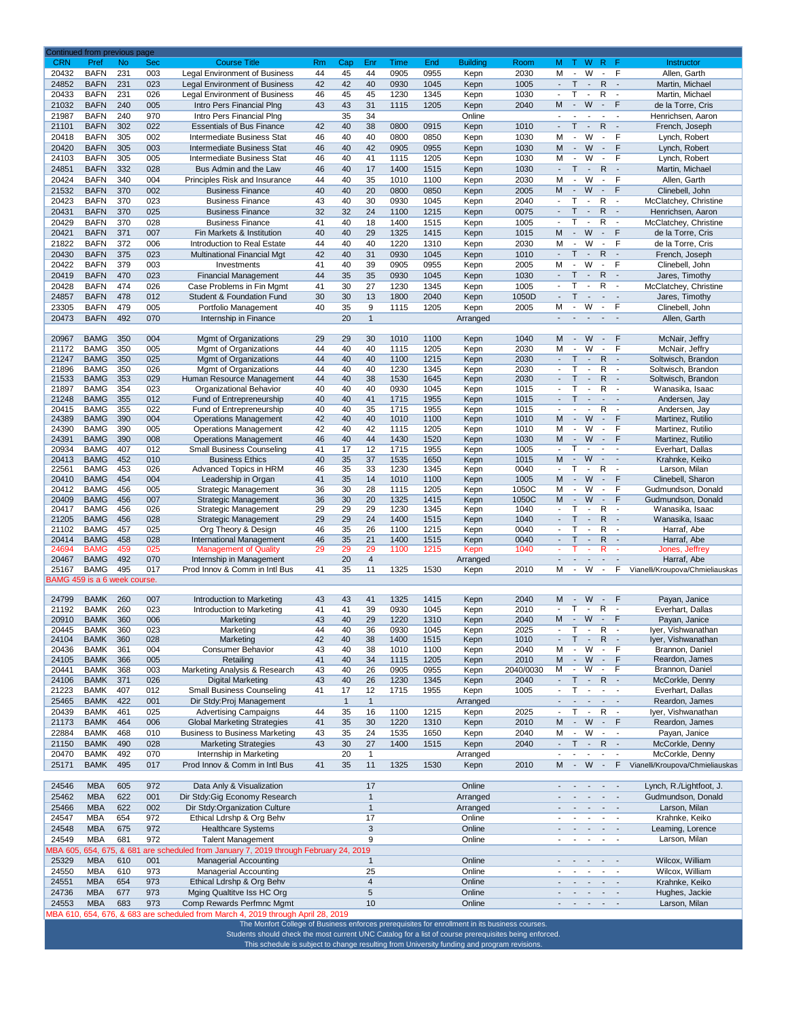|                              | Continued from previous page |                  |                   |                                                                         |          |              |                    |              |                    |                         |                   |                                    |                                                      |                                            |                                                      |                                    |                                            |
|------------------------------|------------------------------|------------------|-------------------|-------------------------------------------------------------------------|----------|--------------|--------------------|--------------|--------------------|-------------------------|-------------------|------------------------------------|------------------------------------------------------|--------------------------------------------|------------------------------------------------------|------------------------------------|--------------------------------------------|
| <b>CRN</b><br>20432          | Pref<br><b>BAFN</b>          | <b>No</b><br>231 | <b>Sec</b><br>003 | <b>Course Title</b><br>Legal Environment of Business                    | Rm<br>44 | Cap<br>45    | Enr<br>44          | Time<br>0905 | <b>End</b><br>0955 | <b>Building</b><br>Kepn | Room<br>2030      | M T W R F<br>M                     | $\sim$                                               | W                                          | $\sim$                                               | F                                  | Instructor<br>Allen, Garth                 |
| 24852                        | <b>BAFN</b>                  | 231              | 023               | <b>Legal Environment of Business</b>                                    | 42       | 42           | 40                 | 0930         | 1045               | Kepn                    | 1005              | $\sim$                             | $\mathsf{T}$                                         | $\blacksquare$                             | $\mathsf R$                                          | $\sim$                             | Martin, Michael                            |
| 20433                        | <b>BAFN</b>                  | 231              | 026               | Legal Environment of Business                                           | 46       | 45           | 45                 | 1230         | 1345               | Kepn                    | 1030              | $\blacksquare$                     | T                                                    | $\overline{\phantom{a}}$                   | R                                                    | $\overline{\phantom{a}}$           | Martin, Michael                            |
| 21032                        | <b>BAFN</b>                  | 240              | 005               | Intro Pers Financial Plng                                               | 43       | 43           | 31                 | 1115         | 1205               | Kepn                    | 2040              | M                                  | $\sim$                                               | W                                          | $\sim$                                               | F                                  | de la Torre, Cris                          |
| 21987                        | <b>BAFN</b>                  | 240              | 970               | Intro Pers Financial Plng                                               |          | 35           | 34                 |              |                    | Online                  |                   |                                    |                                                      |                                            | $\blacksquare$                                       | $\overline{\phantom{a}}$           | Henrichsen, Aaron                          |
| 21101                        | <b>BAFN</b>                  | 302              | 022               | <b>Essentials of Bus Finance</b>                                        | 42       | 40           | 38                 | 0800         | 0915               | Kepn                    | 1010              | $\overline{\phantom{a}}$           | T.                                                   | $\sim$                                     | R                                                    | $\sim$                             | French, Joseph                             |
| 20418                        | <b>BAFN</b>                  | 305              | 002               | Intermediate Business Stat                                              | 46       | 40           | 40                 | 0800         | 0850               | Kepn                    | 1030              | M                                  | $\overline{\phantom{a}}$                             | W                                          | $\blacksquare$                                       | F                                  | Lynch, Robert                              |
| 20420                        | <b>BAFN</b>                  | 305              | 003               | <b>Intermediate Business Stat</b>                                       | 46       | 40           | 42                 | 0905         | 0955               | Kepn                    | 1030              | M                                  | $\sim$                                               | W                                          | $\blacksquare$                                       | F                                  | Lynch, Robert                              |
| 24103                        | <b>BAFN</b>                  | 305              | 005               | Intermediate Business Stat                                              | 46       | 40           | 41                 | 1115         | 1205               | Kepn                    | 1030              | М                                  | $\blacksquare$                                       | W                                          | $\blacksquare$                                       | F                                  | Lynch, Robert                              |
| 24851                        | <b>BAFN</b>                  | 332              | 028               | Bus Admin and the Law                                                   | 46       | 40           | 17                 | 1400         | 1515               | Kepn                    | 1030              | $\blacksquare$                     | $\mathsf{T}$                                         | $\overline{\phantom{a}}$                   | $\mathsf{R}$                                         | $\blacksquare$                     | Martin, Michael                            |
| 20424                        | <b>BAFN</b>                  | 340              | 004               | Principles Risk and Insurance                                           | 44       | 40           | 35                 | 1010         | 1100               | Kepn                    | 2030              | M                                  | $\overline{\phantom{a}}$                             | W                                          | $\overline{\phantom{a}}$                             | F                                  | Allen, Garth                               |
| 21532                        | <b>BAFN</b>                  | 370              | 002               | <b>Business Finance</b>                                                 | 40       | 40           | 20                 | 0800         | 0850               | Kepn                    | 2005              | м                                  | $\blacksquare$                                       | W                                          | $\blacksquare$                                       | F                                  | Clinebell, John                            |
| 20423                        | <b>BAFN</b>                  | 370              | 023               | <b>Business Finance</b>                                                 | 43       | 40           | 30                 | 0930         | 1045               | Kepn                    | 2040              | $\overline{\phantom{a}}$<br>$\sim$ | т                                                    | $\overline{\phantom{a}}$<br>$\blacksquare$ | R                                                    | $\overline{\phantom{a}}$<br>$\sim$ | McClatchey, Christine                      |
| 20431<br>20429               | <b>BAFN</b><br><b>BAFN</b>   | 370<br>370       | 025               | <b>Business Finance</b><br><b>Business Finance</b>                      | 32<br>41 | 32           | 24<br>18           | 1100<br>1400 | 1215               | Kepn                    | 0075<br>1005      | $\blacksquare$                     | $\mathsf{T}$<br>т                                    | $\overline{\phantom{a}}$                   | $\mathsf{R}$<br>R                                    | $\overline{\phantom{a}}$           | Henrichsen, Aaron                          |
| 20421                        | <b>BAFN</b>                  | 371              | 028<br>007        | Fin Markets & Institution                                               | 40       | 40<br>40     | 29                 | 1325         | 1515<br>1415       | Kepn<br>Kepn            | 1015              | M                                  | $\overline{\phantom{a}}$                             | W                                          | $\overline{\phantom{a}}$                             | F                                  | McClatchey, Christine<br>de la Torre, Cris |
| 21822                        | <b>BAFN</b>                  | 372              | 006               | Introduction to Real Estate                                             | 44       | 40           | 40                 | 1220         | 1310               | Kepn                    | 2030              | М                                  | $\blacksquare$                                       | W                                          | $\blacksquare$                                       | F                                  | de la Torre, Cris                          |
| 20430                        | <b>BAFN</b>                  | 375              | 023               | <b>Multinational Financial Mgt</b>                                      | 42       | 40           | 31                 | 0930         | 1045               | Kepn                    | 1010              | $\overline{\phantom{a}}$           | $\mathsf{T}$                                         | $\overline{\phantom{a}}$                   | $\mathsf{R}$                                         | $\overline{\phantom{a}}$           | French, Joseph                             |
| 20422                        | <b>BAFN</b>                  | 379              | 003               | Investments                                                             | 41       | 40           | 39                 | 0905         | 0955               | Kepn                    | 2005              | М                                  | $\blacksquare$                                       | W                                          | $\overline{\phantom{a}}$                             | F                                  | Clinebell, John                            |
| 20419                        | <b>BAFN</b>                  | 470              | 023               | <b>Financial Management</b>                                             | 44       | 35           | 35                 | 0930         | 1045               | Kepn                    | 1030              | $\sim$                             | $\mathsf{T}$                                         | $\overline{\phantom{a}}$                   | $\mathsf{R}$                                         | $\sim$                             | Jares, Timothy                             |
| 20428                        | <b>BAFN</b>                  | 474              | 026               | Case Problems in Fin Mgmt                                               | 41       | 30           | 27                 | 1230         | 1345               | Kepn                    | 1005              | $\blacksquare$                     | т                                                    | $\overline{\phantom{a}}$                   | R                                                    | $\sim$                             | McClatchey, Christine                      |
| 24857                        | <b>BAFN</b>                  | 478              | 012               | Student & Foundation Fund                                               | 30       | 30           | 13                 | 1800         | 2040               | Kepn                    | 1050D             | L.                                 | T.                                                   | $\mathbb{Z}^2$                             | $\mathbb{Z}^2$                                       | $\sim$                             | Jares, Timothy                             |
| 23305                        | <b>BAFN</b>                  | 479              | 005               | Portfolio Management                                                    | 40       | 35           | 9                  | 1115         | 1205               | Kepn                    | 2005              | М                                  | $\overline{\phantom{a}}$                             | W                                          | $\blacksquare$                                       | F                                  | Clinebell, John                            |
| 20473                        | <b>BAFN</b>                  | 492              | 070               | Internship in Finance                                                   |          | 20           | $\mathbf{1}$       |              |                    | Arranged                |                   | $\sim$                             | $\overline{\phantom{a}}$                             |                                            | $\overline{\phantom{a}}$                             |                                    | Allen, Garth                               |
|                              |                              |                  |                   |                                                                         |          |              |                    |              |                    |                         |                   |                                    |                                                      |                                            |                                                      |                                    |                                            |
| 20967<br>21172               | <b>BAMG</b><br><b>BAMG</b>   | 350<br>350       | 004<br>005        | Mgmt of Organizations<br>Mgmt of Organizations                          | 29<br>44 | 29<br>40     | 30<br>40           | 1010<br>1115 | 1100<br>1205       | Kepn                    | 1040<br>2030      | M<br>M                             | $\sim$<br>$\overline{\phantom{a}}$                   | W<br>W                                     | $\blacksquare$<br>$\blacksquare$                     | F<br>F                             | McNair, Jeffry<br>McNair, Jeffry           |
| 21247                        | <b>BAMG</b>                  | 350              | 025               | Mgmt of Organizations                                                   | 44       | 40           | 40                 | 1100         | 1215               | Kepn<br>Kepn            | 2030              |                                    | T                                                    | $\overline{\phantom{a}}$                   | $\mathsf{R}$                                         | $\overline{\phantom{a}}$           | Soltwisch, Brandon                         |
| 21896                        | <b>BAMG</b>                  | 350              | 026               | Mgmt of Organizations                                                   | 44       | 40           | 40                 | 1230         | 1345               | Kepn                    | 2030              | $\overline{\phantom{a}}$           | т                                                    | $\sim$                                     | R                                                    | $\overline{\phantom{a}}$           | Soltwisch, Brandon                         |
| 21533                        | <b>BAMG</b>                  | 353              | 029               | Human Resource Management                                               | 44       | 40           | 38                 | 1530         | 1645               | Kepn                    | 2030              | $\overline{a}$                     | т                                                    | $\blacksquare$                             | R                                                    | $\overline{\phantom{a}}$           | Soltwisch, Brandon                         |
| 21897                        | <b>BAMG</b>                  | 354              | 023               | Organizational Behavior                                                 | 40       | 40           | 40                 | 0930         | 1045               | Kepn                    | 1015              | $\blacksquare$                     | т                                                    | $\overline{\phantom{a}}$                   | R                                                    | $\overline{\phantom{a}}$           | Wanasika, Isaac                            |
| 21248                        | <b>BAMG</b>                  | 355              | 012               | Fund of Entrepreneurship                                                | 40       | 40           | 41                 | 1715         | 1955               | Kepn                    | 1015              | $\blacksquare$                     | T                                                    | $\mathcal{L}$                              | $\mathbb{L}$                                         | $\sim$                             | Andersen, Jay                              |
| 20415                        | <b>BAMG</b>                  | 355              | 022               | Fund of Entrepreneurship                                                | 40       | 40           | 35                 | 1715         | 1955               | Kepn                    | 1015              | $\blacksquare$                     | $\blacksquare$                                       | $\overline{\phantom{a}}$                   | $\overline{R}$                                       | $\overline{\phantom{a}}$           | Andersen, Jay                              |
| 24389                        | <b>BAMG</b><br><b>BAMG</b>   | 390              | 004<br>005        | <b>Operations Management</b>                                            | 42<br>42 | 40<br>40     | 40                 | 1010         | 1100               | Kepn                    | 1010<br>1010      | м<br>М                             | $\sim$<br>$\overline{\phantom{a}}$                   | W<br>W                                     | $\sim$<br>$\blacksquare$                             | F<br>F                             | Martinez, Rutilio                          |
| 24390<br>24391               | <b>BAMG</b>                  | 390<br>390       | 008               | <b>Operations Management</b><br><b>Operations Management</b>            | 46       | 40           | 42<br>44           | 1115<br>1430 | 1205<br>1520       | Kepn<br>Kepn            | 1030              | M                                  | $\blacksquare$                                       | W                                          | $\blacksquare$                                       | F                                  | Martinez, Rutilio<br>Martinez, Rutilio     |
| 20934                        | <b>BAMG</b>                  | 407              | 012               | <b>Small Business Counseling</b>                                        | 41       | 17           | 12                 | 1715         | 1955               | Kepn                    | 1005              | $\mathcal{L}_{\mathcal{A}}$        | т                                                    | $\blacksquare$                             | $\blacksquare$                                       | $\overline{\phantom{a}}$           | Everhart, Dallas                           |
| 20413                        | <b>BAMG</b>                  | 452              | 010               | <b>Business Ethics</b>                                                  | 40       | 35           | 37                 | 1535         | 1650               | Kepn                    | 1015              | M                                  | $\overline{\phantom{a}}$                             | W                                          | $\overline{\phantom{a}}$                             | $\overline{\phantom{a}}$           | Krahnke, Keiko                             |
| 22561                        | <b>BAMG</b>                  | 453              | 026               | Advanced Topics in HRM                                                  | 46       | 35           | 33                 | 1230         | 1345               | Kepn                    | 0040              | $\sim$                             | т                                                    |                                            | R                                                    | $\overline{\phantom{a}}$           | Larson, Milan                              |
| 20410                        | <b>BAMG</b>                  | 454              | 004               | Leadership in Organ                                                     | 41       | 35           | 14                 | 1010         | 1100               | Kepn                    | 1005              | М                                  | $\blacksquare$                                       | W                                          | $\blacksquare$                                       | F                                  | Clinebell, Sharon                          |
| 20412                        | <b>BAMG</b>                  | 456              | 005               | Strategic Management                                                    | 36       | 30           | 28                 | 1115         | 1205               | Kepn                    | 1050C             | М                                  | $\blacksquare$                                       | W                                          | $\overline{\phantom{a}}$                             | F                                  | Gudmundson, Donald                         |
| 20409<br>20417               | <b>BAMG</b><br><b>BAMG</b>   | 456<br>456       | 007<br>026        | Strategic Management                                                    | 36<br>29 | 30           | 20<br>29           | 1325<br>1230 | 1415               | Kepn                    | 1050C<br>1040     | M<br>$\blacksquare$                | $\overline{\phantom{a}}$<br>T                        | W<br>$\blacksquare$                        | $\blacksquare$<br>R                                  | F<br>$\overline{\phantom{a}}$      | Gudmundson, Donald<br>Wanasika, Isaac      |
| 21205                        | <b>BAMG</b>                  | 456              | 028               | <b>Strategic Management</b><br><b>Strategic Management</b>              | 29       | 29<br>29     | 24                 | 1400         | 1345<br>1515       | Kepn<br>Kepn            | 1040              | $\sim$                             | T                                                    | $\blacksquare$                             | R                                                    | $\sim$                             | Wanasika, Isaac                            |
| 21102                        | <b>BAMG</b>                  | 457              | 025               | Org Theory & Design                                                     | 46       | 35           | 26                 | 1100         | 1215               | Kepn                    | 0040              | ÷,                                 | т                                                    | $\overline{\phantom{a}}$                   | R                                                    | $\overline{\phantom{a}}$           | Harraf, Abe                                |
| 20414                        | <b>BAMG</b>                  | 458              | 028               | International Management                                                | 46       | 35           | 21                 | 1400         | 1515               | Kepn                    | 0040              | $\mathbf{r}$                       | т                                                    | $\blacksquare$                             | R                                                    | $\sim$                             | Harraf, Abe                                |
| 24694                        | <b>BAMG</b>                  | 459              | 025               | <b>Management of Quality</b>                                            | 29       | 29           | 29                 | 1100         | 1215               | Kepn                    | 1040              | ٠                                  | т                                                    | ×.                                         | R.                                                   | $\sim$                             | Jones, Jeffrey                             |
| 20467                        | <b>BAMG</b>                  | 492              | 070               | Internship in Management                                                |          | 20           | $\overline{4}$     |              |                    | Arranged                |                   | $\overline{\phantom{a}}$           |                                                      | $\overline{\phantom{a}}$                   | $\overline{\phantom{a}}$                             | $\overline{\phantom{a}}$           | Harraf, Abe                                |
| 25167                        | <b>BAMG</b>                  | 495              | 017               | Prod Innov & Comm in Intl Bus                                           | 41       | 35           | 11                 | 1325         | 1530               | Kepn                    | 2010              | М                                  | $\overline{\phantom{a}}$                             | W                                          | $\overline{\phantom{a}}$                             | F                                  | Vianelli/Kroupova/Chmieliauskas            |
| BAMG 459 is a 6 week course. |                              |                  |                   |                                                                         |          |              |                    |              |                    |                         |                   |                                    |                                                      |                                            |                                                      |                                    |                                            |
| 24799                        | <b>BAMK</b>                  | 260              | 007               | Introduction to Marketing                                               | 43       | 43           | 41                 | 1325         | 1415               | Kepn                    | 2040              | M                                  | $\sim$                                               | W                                          | $\sim$                                               | $\hat{\mathbf{F}}$                 | Payan, Janice                              |
| 21192                        | <b>BAMK</b>                  | 260              | 023               | Introduction to Marketing                                               | 41       | 41           | 39                 | 0930         | 1045               | Kepn                    | 2010              | $\blacksquare$                     | T                                                    | $\overline{\phantom{a}}$                   | $\overline{R}$                                       | $\overline{\phantom{a}}$           | Everhart, Dallas                           |
| 20910                        | <b>BAMK</b>                  | 360              | 006               | Marketing                                                               | 43       | 40           | 29                 | 1220         | 1310               | Kepn                    | 2040              | M                                  | $\sim$                                               | W                                          | $\sim$                                               | F                                  | Payan, Janice                              |
| 20445                        | <b>BAMK</b>                  | 360              | 023               | Marketing                                                               | 44       | 40           | 36                 | 0930         | 1045               | Kepn                    | 2025              | $\sim$                             | Τ                                                    | $\blacksquare$                             | R                                                    | $\overline{\phantom{a}}$           | Iyer, Vishwanathan                         |
| 24104                        | <b>BAMK</b>                  | 360              | 028               | Marketing                                                               | 42       | 40           | 38                 | 1400         | 1515               | Kepn                    | 1010              | $\overline{\phantom{a}}$           | T                                                    | $\overline{\phantom{a}}$                   | $\overline{R}$                                       | $\sim$                             | Iyer, Vishwanathan                         |
| 20436                        | <b>BAMK</b>                  | 361              | 004               | <b>Consumer Behavior</b>                                                | 43       | 40           | 38                 | 1010         | 1100               | Kepn                    | 2040              | М                                  | $\overline{\phantom{a}}$                             | W                                          | $\blacksquare$                                       | F                                  | Brannon, Daniel                            |
| 24105<br>20441               | <b>BAMK</b><br><b>BAMK</b>   | 366<br>368       | 005<br>003        | Retailing<br>Marketing Analysis & Research                              | 41<br>43 | 40<br>40     | 34<br>26           | 1115<br>0905 | 1205<br>0955       | Kepn<br>Kepn            | 2010<br>2040/0030 | M<br>M                             | $\overline{\phantom{a}}$<br>$\overline{\phantom{a}}$ | W<br>W                                     | $\overline{\phantom{a}}$<br>$\overline{\phantom{a}}$ | F<br>F                             | Reardon, James<br>Brannon, Daniel          |
| 24106                        | <b>BAMK</b>                  | 371              | 026               | <b>Digital Marketing</b>                                                | 43       | 40           | 26                 | 1230         | 1345               | Kepn                    | 2040              | $\overline{\phantom{a}}$           | T.                                                   | $\overline{\phantom{a}}$                   | $\mathsf{R}$                                         | $\sim$                             | McCorkle, Denny                            |
| 21223                        | <b>BAMK</b>                  | 407              | 012               | <b>Small Business Counseling</b>                                        | 41       | 17           | 12                 | 1715         | 1955               | Kepn                    | 1005              | $\blacksquare$                     | T.                                                   | $\overline{\phantom{a}}$                   | $\blacksquare$                                       | $\overline{\phantom{a}}$           | Everhart, Dallas                           |
| 25465                        | <b>BAMK</b>                  | 422              | 001               | Dir Stdy: Proj Management                                               |          | $\mathbf{1}$ | $\mathbf{1}$       |              |                    | Arranged                |                   | $\mathcal{L}$                      | $\overline{\phantom{a}}$                             | $\overline{\phantom{a}}$                   | $\overline{\phantom{a}}$                             | $\blacksquare$                     | Reardon, James                             |
| 20439                        | <b>BAMK</b>                  | 461              | 025               | <b>Advertising Campaigns</b>                                            | 44       | 35           | 16                 | 1100         | 1215               | Kepn                    | 2025              | $\blacksquare$                     | $\mathsf{T}$                                         | $\overline{\phantom{a}}$                   | R                                                    | $\overline{\phantom{a}}$           | Iyer, Vishwanathan                         |
| 21173                        | <b>BAMK</b>                  | 464              | 006               | <b>Global Marketing Strategies</b>                                      | 41       | 35           | 30                 | 1220         | 1310               | Kepn                    | 2010              | M                                  | $\blacksquare$                                       | W                                          | $\sim$                                               | F                                  | Reardon, James                             |
| 22884                        | <b>BAMK</b>                  | 468              | 010               | <b>Business to Business Marketing</b>                                   | 43       | 35           | 24                 | 1535         | 1650               | Kepn                    | 2040              | М                                  | $\blacksquare$                                       | W                                          | $\blacksquare$                                       | $\overline{\phantom{a}}$           | Payan, Janice                              |
| 21150                        | <b>BAMK</b>                  | 490              | 028               | <b>Marketing Strategies</b>                                             | 43       | 30           | 27                 | 1400         | 1515               | Kepn                    | 2040              | $\mathcal{L}_{\mathcal{A}}$        | $T - 1$                                              |                                            | $\mathsf{R}$                                         | $\sim$                             | McCorkle, Denny                            |
| 20470                        | <b>BAMK</b>                  | 492              | 070               | Internship in Marketing                                                 |          | 20           | $\mathbf{1}$       |              |                    | Arranged                |                   | $\blacksquare$                     | $\blacksquare$                                       | $\overline{\phantom{a}}$                   | $\blacksquare$                                       | $\overline{\phantom{a}}$           | McCorkle, Denny                            |
| 25171                        | <b>BAMK</b>                  | 495              | 017               | Prod Innov & Comm in Intl Bus                                           | 41       | 35           | 11                 | 1325         | 1530               | Kepn                    | 2010              | M                                  | $\sim$                                               | W                                          | $\overline{\phantom{a}}$                             | F                                  | Vianelli/Kroupova/Chmieliauskas            |
|                              |                              |                  |                   |                                                                         |          |              |                    |              |                    |                         |                   |                                    |                                                      |                                            |                                                      |                                    |                                            |
| 24546                        | <b>MBA</b>                   | 605              | 972               | Data Anly & Visualization                                               |          |              | 17<br>$\mathbf{1}$ |              |                    | Online                  |                   |                                    |                                                      |                                            | $\overline{\phantom{a}}$                             | $\blacksquare$                     | Lynch, R./Lightfoot, J.                    |
| 25462<br>25466               | <b>MBA</b><br><b>MBA</b>     | 622<br>622       | 001<br>002        | Dir Stdy: Gig Economy Research<br>Dir Stdy: Organization Culture        |          |              | $\mathbf{1}$       |              |                    | Arranged                |                   |                                    |                                                      |                                            | $\blacksquare$                                       | $\sim$                             | Gudmundson, Donald<br>Larson, Milan        |
| 24547                        | <b>MBA</b>                   | 654              | 972               | Ethical Ldrshp & Org Behv                                               |          |              | 17                 |              |                    | Arranged<br>Online      |                   |                                    |                                                      |                                            | $\blacksquare$                                       | $\overline{\phantom{a}}$           | Krahnke, Keiko                             |
| 24548                        | <b>MBA</b>                   | 675              | 972               | <b>Healthcare Systems</b>                                               |          |              | 3                  |              |                    | Online                  |                   |                                    |                                                      |                                            | $\overline{\phantom{a}}$                             | $\blacksquare$                     | Leaming, Lorence                           |
| 24549                        | <b>MBA</b>                   | 681              | 972               | <b>Talent Management</b>                                                |          |              | 9                  |              |                    | Online                  |                   |                                    |                                                      |                                            |                                                      | $\overline{\phantom{a}}$           | Larson, Milan                              |
| <b>MBA 605,</b>              | 654, 675, & 681              |                  |                   | are scheduled from January 7, 2019 through February 24, 2019            |          |              |                    |              |                    |                         |                   |                                    |                                                      |                                            |                                                      |                                    |                                            |
| 25329                        | <b>MBA</b>                   | 610              | 001               | <b>Managerial Accounting</b>                                            |          |              | $\mathbf{1}$       |              |                    | Online                  |                   |                                    |                                                      |                                            | $\overline{\phantom{a}}$                             |                                    | Wilcox, William                            |
| 24550                        | <b>MBA</b>                   | 610              | 973               | <b>Managerial Accounting</b>                                            |          |              | 25                 |              |                    | Online                  |                   |                                    |                                                      |                                            | $\overline{a}$                                       | $\overline{\phantom{a}}$           | Wilcox, William                            |
| 24551                        | <b>MBA</b>                   | 654              | 973               | Ethical Ldrshp & Org Behv                                               |          |              | $\overline{4}$     |              |                    | Online                  |                   |                                    |                                                      |                                            |                                                      | $\sim$                             | Krahnke, Keiko                             |
| 24736                        | <b>MBA</b>                   | 677              | 973               | Mging Qualtitve Iss HC Org                                              |          |              | 5                  |              |                    | Online                  |                   |                                    |                                                      |                                            |                                                      | $\overline{\phantom{a}}$           | Hughes, Jackie                             |
| 24553                        | <b>MBA</b>                   | 683              | 973               | Comp Rewards Perfmnc Mgmt                                               |          |              | 10                 |              |                    | Online                  |                   |                                    |                                                      |                                            | $\overline{\phantom{a}}$                             | $\overline{\phantom{a}}$           | Larson, Milan                              |
| MBA 610,                     |                              |                  |                   | 654, 676, & 683 are scheduled from March 4, 2019 through April 28, 2019 |          |              |                    |              |                    |                         |                   |                                    |                                                      |                                            |                                                      |                                    |                                            |

This schedule is subject to change resulting from University funding and program revisions. The Monfort College of Business enforces prerequisites for enrollment in its business courses. Students should check the most current UNC Catalog for a list of course prerequisites being enforced.